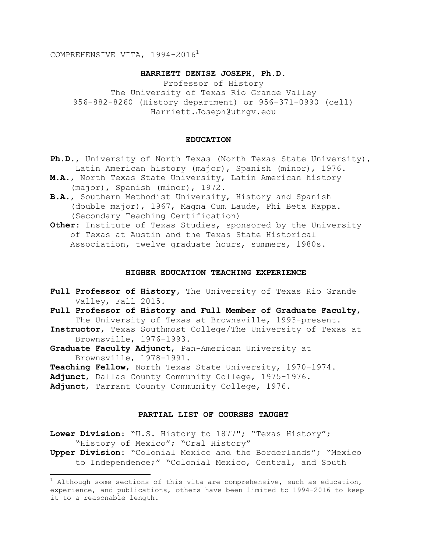COMPREHENSIVE VITA, 1994-2016<sup>1</sup>

# **HARRIETT DENISE JOSEPH, Ph.D.**

Professor of History The University of Texas Rio Grande Valley 956-882-8260 (History department) or 956-371-0990 (cell) Harriett.Joseph@utrgv.edu

#### **EDUCATION**

- **Ph.D.**, University of North Texas (North Texas State University), Latin American history (major), Spanish (minor), 1976.
- **M.A.**, North Texas State University, Latin American history (major), Spanish (minor), 1972.
- **B.A.**, Southern Methodist University, History and Spanish (double major), 1967, Magna Cum Laude, Phi Beta Kappa. (Secondary Teaching Certification)
- **Other**: Institute of Texas Studies, sponsored by the University of Texas at Austin and the Texas State Historical Association, twelve graduate hours, summers, 1980s.

### **HIGHER EDUCATION TEACHING EXPERIENCE**

- Full Professor of History, The University of Texas Rio Grande Valley, Fall 2015.
- **Full Professor of History and Full Member of Graduate Faculty**, The University of Texas at Brownsville, 1993-present.
- **Instructor**, Texas Southmost College/The University of Texas at Brownsville, 1976-1993.
- **Graduate Faculty Adjunct**, Pan-American University at Brownsville, 1978-1991.
- **Teaching Fellow**, North Texas State University, 1970-1974.
- **Adjunct**, Dallas County Community College, 1975-1976.
- **Adjunct**, Tarrant County Community College, 1976.

i<br>L

# **PARTIAL LIST OF COURSES TAUGHT**

**Lower Division**: "U.S. History to 1877"; "Texas History"; "History of Mexico"; "Oral History"

**Upper Division**: "Colonial Mexico and the Borderlands"; "Mexico to Independence;" "Colonial Mexico, Central, and South

 $1$  Although some sections of this vita are comprehensive, such as education, experience, and publications, others have been limited to 1994-2016 to keep it to a reasonable length.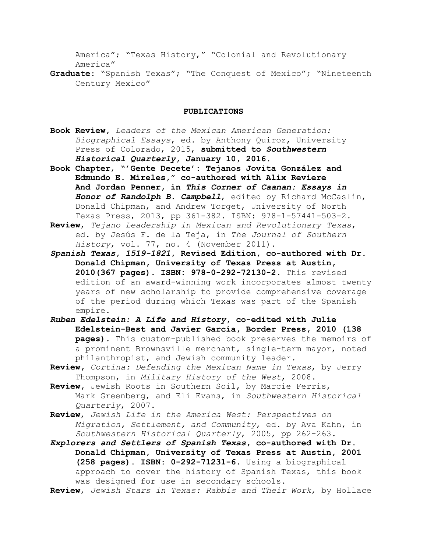America"; "Texas History," "Colonial and Revolutionary America"

**Graduate**: "Spanish Texas"; "The Conquest of Mexico"; "Nineteenth Century Mexico"

### **PUBLICATIONS**

- **Book Review,** *Leaders of the Mexican American Generation: Biographical Essays*, ed. by Anthony Quiroz, University Press of Colorado, 2015, **submitted to** *Southwestern Historical Quarterly***, January 10, 2016.**
- **Book Chapter**, **"'Gente Decete': Tejanos Jovita González and Edmundo E. Mireles," co-authored with Alix Reviere And Jordan Penner, in** *This Corner of Caanan: Essays in Honor of Randolph B. Campbell*, edited by Richard McCaslin, Donald Chipman, and Andrew Torget, University of North Texas Press, 2013, pp 361-382. ISBN: 978-1-57441-503-2.
- **Review**, *Tejano Leadership in Mexican and Revolutionary Texas*, ed. by Jesús F. de la Teja, in *The Journal of Southern History*, vol. 77, no. 4 (November 2011).
- *Spanish Texas, 1519-1821***, Revised Edition, co-authored with Dr. Donald Chipman, University of Texas Press at Austin, 2010(367 pages). ISBN: 978-0-292-72130-2.** This revised edition of an award-winning work incorporates almost twenty years of new scholarship to provide comprehensive coverage of the period during which Texas was part of the Spanish empire.
- *Ruben Edelstein: A Life and History***, co-edited with Julie Edelstein-Best and Javier García, Border Press, 2010 (138 pages).** This custom-published book preserves the memoirs of a prominent Brownsville merchant, single-term mayor, noted philanthropist, and Jewish community leader.
- **Review,** *Cortina: Defending the Mexican Name in Texas*, by Jerry Thompson, in *Military History of the West*, 2008.
- **Review,** Jewish Roots in Southern Soil, by Marcie Ferris, Mark Greenberg, and Eli Evans, in *Southwestern Historical Quarterly*, 2007.
- **Review**, *Jewish Life in the America West: Perspectives on Migration, Settlement, and Community*, ed. by Ava Kahn, in *Southwestern Historical Quarterly*, 2005, pp 262-263.
- *Explorers and Settlers of Spanish Texas***, co-authored with Dr. Donald Chipman, University of Texas Press at Austin, 2001 (258 pages). ISBN: 0-292-71231-6**. Using a biographical approach to cover the history of Spanish Texas, this book was designed for use in secondary schools.
- **Review**, *Jewish Stars in Texas: Rabbis and Their Work*, by Hollace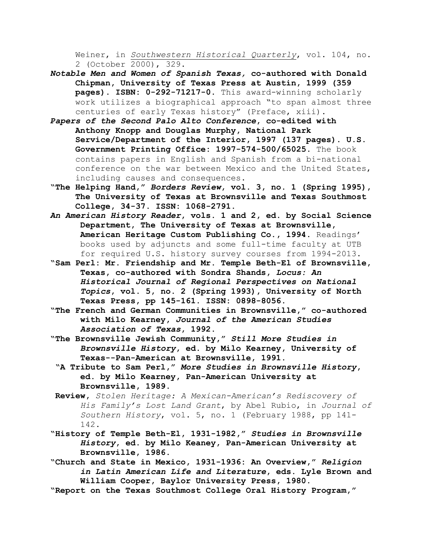Weiner, in *Southwestern Historical Quarterly*, vol. 104, no. 2 (October 2000), 329.

- *Notable Men and Women of Spanish Texas,* **co-authored with Donald Chipman, University of Texas Press at Austin, 1999 (359 pages). ISBN: 0-292-71217-0**. This award-winning scholarly work utilizes a biographical approach "to span almost three centuries of early Texas history" (Preface, xiii).
- *Papers of the Second Palo Alto Conference***, co-edited with Anthony Knopp and Douglas Murphy, National Park Service/Department of the Interior, 1997 (137 pages). U.S. Government Printing Office: 1997-574-500/65025.** The book contains papers in English and Spanish from a bi-national conference on the war between Mexico and the United States, including causes and consequences.
- **"The Helping Hand,"** *Borders Review***, vol. 3, no. 1 (Spring 1995), The University of Texas at Brownsville and Texas Southmost College, 34-37. ISSN: 1068-2791.**
- *An American History Reader***, vols. 1 and 2, ed. by Social Science Department, The University of Texas at Brownsville, American Heritage Custom Publishing Co., 1994.** Readings' books used by adjuncts and some full-time faculty at UTB for required U.S. history survey courses from 1994-2013.
- **"Sam Perl: Mr. Friendship and Mr. Temple Beth-El of Brownsville, Texas, co-authored with Sondra Shands,** *Locus: An Historical Journal of Regional Perspectives on National Topics***, vol. 5, no. 2 (Spring 1993), University of North Texas Press, pp 145-161. ISSN: 0898-8056.**
- **"The French and German Communities in Brownsville," co-authored with Milo Kearney,** *Journal of the American Studies Association of Texas***, 1992.**
- **"The Brownsville Jewish Community,"** *Still More Studies in Brownsville History***, ed. by Milo Kearney, University of Texas--Pan-American at Brownsville, 1991.**
	- **"A Tribute to Sam Perl,"** *More Studies in Brownsville History***, ed. by Milo Kearney, Pan-American University at Brownsville, 1989.**
- **Review,** *Stolen Heritage: A Mexican-American's Rediscovery of His Family's Lost Land Grant*, by Abel Rubio, in *Journal of Southern History*, vol. 5, no. 1 (February 1988, pp 141- 142.
- **"History of Temple Beth-El, 1931-1982,"** *Studies in Brownsville History***, ed. by Milo Keaney, Pan-American University at Brownsville, 1986**.
- **"Church and State in Mexico, 1931-1936: An Overview,"** *Religion in Latin American Life and Literature***, eds. Lyle Brown and William Cooper, Baylor University Press, 1980.**
- **"Report on the Texas Southmost College Oral History Program,"**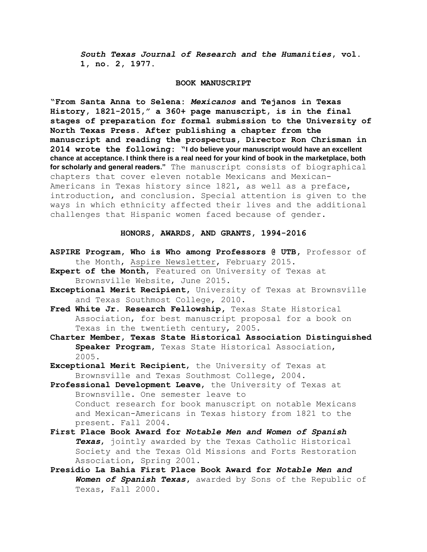*South Texas Journal of Research and the Humanities***, vol. 1, no. 2, 1977.**

#### **BOOK MANUSCRIPT**

**"From Santa Anna to Selena:** *Mexicanos* **and Tejanos in Texas History, 1821-2015," a 360+ page manuscript, is in the final stages of preparation for formal submission to the University of North Texas Press. After publishing a chapter from the manuscript and reading the prospectus, Director Ron Chrisman in 2014 wrote the following: "I do believe your manuscript would have an excellent chance at acceptance. I think there is a real need for your kind of book in the marketplace, both for scholarly and general readers."** The manuscript consists of biographical chapters that cover eleven notable Mexicans and Mexican-Americans in Texas history since 1821, as well as a preface, introduction, and conclusion. Special attention is given to the ways in which ethnicity affected their lives and the additional challenges that Hispanic women faced because of gender.

### **HONORS, AWARDS, AND GRANTS, 1994-2016**

- **ASPIRE Program, Who is Who among Professors @ UTB,** Professor of the Month, Aspire Newsletter, February 2015.
- **Expert of the Month**, Featured on University of Texas at Brownsville Website, June 2015.
- **Exceptional Merit Recipient,** University of Texas at Brownsville and Texas Southmost College, 2010.
- **Fred White Jr. Research Fellowship,** Texas State Historical Association, for best manuscript proposal for a book on Texas in the twentieth century, 2005.
- **Charter Member, Texas State Historical Association Distinguished Speaker Program,** Texas State Historical Association, 2005.
- **Exceptional Merit Recipient**, the University of Texas at Brownsville and Texas Southmost College, 2004.
- **Professional Development Leave**, the University of Texas at Brownsville. One semester leave to Conduct research for book manuscript on notable Mexicans and Mexican-Americans in Texas history from 1821 to the present. Fall 2004.
- **First Place Book Award for** *Notable Men and Women of Spanish Texas*, jointly awarded by the Texas Catholic Historical Society and the Texas Old Missions and Forts Restoration Association, Spring 2001.
- **Presidio La Bahia First Place Book Award for** *Notable Men and Women of Spanish Texas***,** awarded by Sons of the Republic of Texas, Fall 2000.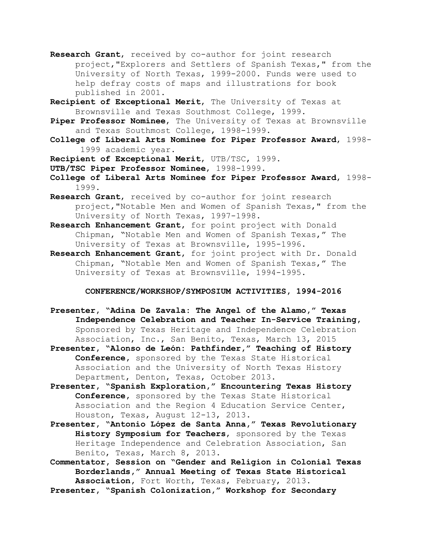- **Research Grant**, received by co-author for joint research project,"Explorers and Settlers of Spanish Texas," from the University of North Texas, 1999-2000. Funds were used to help defray costs of maps and illustrations for book published in 2001.
- **Recipient of Exceptional Merit**, The University of Texas at Brownsville and Texas Southmost College, 1999.
- **Piper Professor Nominee**, The University of Texas at Brownsville and Texas Southmost College, 1998-1999.
- **College of Liberal Arts Nominee for Piper Professor Award**, 1998- 1999 academic year.
- **Recipient of Exceptional Merit**, UTB/TSC, 1999.
- **UTB/TSC Piper Professor Nominee**, 1998-1999.
- **College of Liberal Arts Nominee for Piper Professor Award**, 1998- 1999.
- **Research Grant**, received by co-author for joint research project,"Notable Men and Women of Spanish Texas," from the University of North Texas, 1997-1998.
- **Research Enhancement Grant,** for point project with Donald Chipman, "Notable Men and Women of Spanish Texas," The University of Texas at Brownsville, 1995-1996.
- **Research Enhancement Grant,** for joint project with Dr. Donald Chipman, "Notable Men and Women of Spanish Texas," The University of Texas at Brownsville, 1994-1995.

**CONFERENCE/WORKSHOP/SYMPOSIUM ACTIVITIES, 1994-2016**

- **Presenter, "Adina De Zavala: The Angel of the Alamo," Texas Independence Celebration and Teacher In-Service Training,** Sponsored by Texas Heritage and Independence Celebration Association, Inc., San Benito, Texas, March 13, 2015
- **Presenter, "Alonso de León: Pathfinder," Teaching of History Conference,** sponsored by the Texas State Historical Association and the University of North Texas History Department, Denton, Texas, October 2013.
- **Presenter, "Spanish Exploration," Encountering Texas History Conference,** sponsored by the Texas State Historical Association and the Region 4 Education Service Center, Houston, Texas, August 12-13, 2013.
- **Presenter, "Antonio López de Santa Anna," Texas Revolutionary History Symposium for Teachers**, sponsored by the Texas Heritage Independence and Celebration Association, San Benito, Texas, March 8, 2013.
- **Commentator, Session on "Gender and Religion in Colonial Texas Borderlands," Annual Meeting of Texas State Historical Association,** Fort Worth, Texas, February, 2013.

**Presenter, "Spanish Colonization," Workshop for Secondary**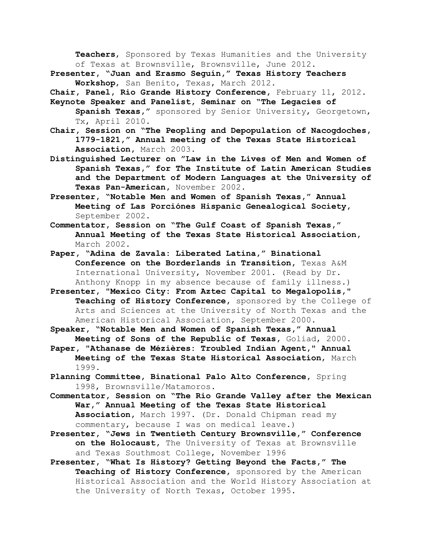**Teachers**, Sponsored by Texas Humanities and the University of Texas at Brownsville, Brownsville, June 2012.

**Presenter, "Juan and Erasmo Seguín," Texas History Teachers Workshop**, San Benito, Texas, March 2012.

**Chair, Panel, Rio Grande History Conference,** February 11, 2012.

- **Keynote Speaker and Panelist, Seminar on "The Legacies of Spanish Texas,"** sponsored by Senior University, Georgetown, Tx, April 2010.
- **Chair, Session on "The Peopling and Depopulation of Nacogdoches, 1779-1821," Annual meeting of the Texas State Historical Association,** March 2003.
- **Distinguished Lecturer on "Law in the Lives of Men and Women of Spanish Texas," for The Institute of Latin American Studies and the Department of Modern Languages at the University of Texas Pan-American,** November 2002.
- **Presenter, "Notable Men and Women of Spanish Texas," Annual Meeting of Las Porciónes Hispanic Genealogical Society,** September 2002.
- **Commentator, Session on "The Gulf Coast of Spanish Texas," Annual Meeting of the Texas State Historical Association,** March 2002.
- **Paper, "Adina de Zavala: Liberated Latina," Binational Conference on the Borderlands in Transition,** Texas A&M International University, November 2001. (Read by Dr. Anthony Knopp in my absence because of family illness.)
- **Presenter, "Mexico City: From Aztec Capital to Megalopolis," Teaching of History Conference,** sponsored by the College of Arts and Sciences at the University of North Texas and the American Historical Association, September 2000.
- **Speaker, "Notable Men and Women of Spanish Texas," Annual Meeting of Sons of the Republic of Texas,** Goliad, 2000.
- **Paper, "Athanase de Mézières: Troubled Indian Agent," Annual Meeting of the Texas State Historical Association**, March 1999.
- **Planning Committee, Binational Palo Alto Conference,** Spring 1998, Brownsville/Matamoros.
- **Commentator, Session on "The Rio Grande Valley after the Mexican War," Annual Meeting of the Texas State Historical Association,** March 1997. (Dr. Donald Chipman read my commentary, because I was on medical leave.)
- **Presenter, "Jews in Twentieth Century Brownsville," Conference on the Holocaust,** The University of Texas at Brownsville and Texas Southmost College, November 1996
- **Presenter, "What Is History? Getting Beyond the Facts," The Teaching of History Conference,** sponsored by the American Historical Association and the World History Association at the University of North Texas, October 1995.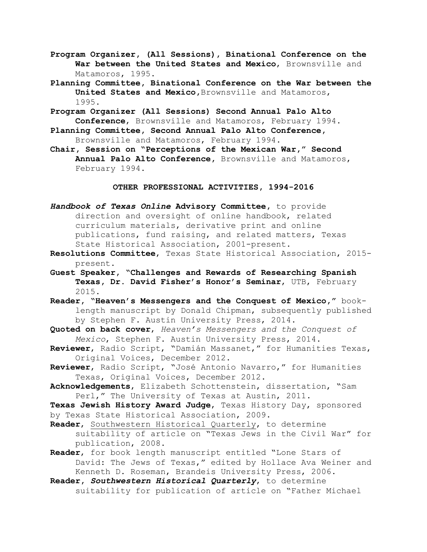- **Program Organizer, (All Sessions), Binational Conference on the War between the United States and Mexico**, Brownsville and Matamoros, 1995.
- **Planning Committee, Binational Conference on the War between the United States and Mexico,**Brownsville and Matamoros, 1995.
- **Program Organizer (All Sessions) Second Annual Palo Alto Conference**, Brownsville and Matamoros, February 1994.
- **Planning Committee, Second Annual Palo Alto Conference,**  Brownsville and Matamoros, February 1994.
- **Chair, Session on "Perceptions of the Mexican War," Second Annual Palo Alto Conference,** Brownsville and Matamoros, February 1994.

### **OTHER PROFESSIONAL ACTIVITIES, 1994-2016**

- *Handbook of Texas Online* **Advisory Committee,** to provide direction and oversight of online handbook, related curriculum materials, derivative print and online publications, fund raising, and related matters, Texas State Historical Association, 2001-present.
- **Resolutions Committee**, Texas State Historical Association, 2015 present.
- **Guest Speaker, "Challenges and Rewards of Researching Spanish Texas, Dr. David Fisher's Honor's Seminar**, UTB, February 2015.
- **Reader, "Heaven's Messengers and the Conquest of Mexico,"** book length manuscript by Donald Chipman, subsequently published by Stephen F. Austin University Press, 2014.
- **Quoted on back cover**, *Heaven's Messengers and the Conquest of Mexico*, Stephen F. Austin University Press, 2014.
- **Reviewer**, Radio Script, "Damián Massanet," for Humanities Texas, Original Voices, December 2012.
- **Reviewer**, Radio Script, "José Antonio Navarro," for Humanities Texas, Original Voices, December 2012.
- **Acknowledgements**, Elizabeth Schottenstein, dissertation, "Sam Perl," The University of Texas at Austin, 2011.

**Texas Jewish History Award Judge**, Texas History Day, sponsored by Texas State Historical Association, 2009.

- **Reader**, Southwestern Historical Quarterly, to determine suitability of article on "Texas Jews in the Civil War" for publication, 2008.
- **Reader**, for book length manuscript entitled "Lone Stars of David: The Jews of Texas," edited by Hollace Ava Weiner and Kenneth D. Roseman, Brandeis University Press, 2006.
- **Reader,** *Southwestern Historical Quarterly*, to determine suitability for publication of article on "Father Michael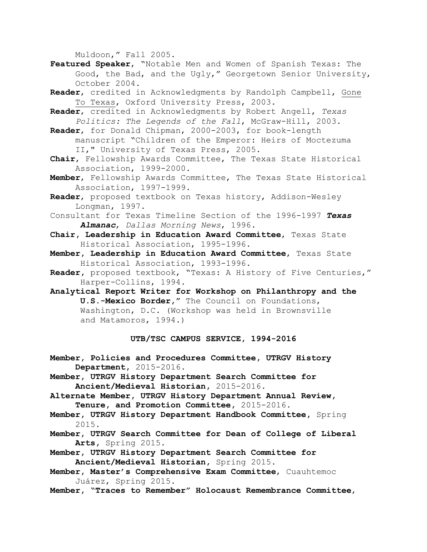Muldoon," Fall 2005.

- **Featured Speaker**, "Notable Men and Women of Spanish Texas: The Good, the Bad, and the Ugly," Georgetown Senior University, October 2004.
- **Reader**, credited in Acknowledgments by Randolph Campbell, Gone To Texas, Oxford University Press, 2003.
- **Reader**, credited in Acknowledgments by Robert Angell, *Texas Politics: The Legends of the Fall*, McGraw-Hill, 2003.
- **Reader**, for Donald Chipman, 2000-2003, for book-length manuscript "Children of the Emperor: Heirs of Moctezuma II," University of Texas Press, 2005.
- **Chair**, Fellowship Awards Committee, The Texas State Historical Association, 1999-2000.
- **Member**, Fellowship Awards Committee, The Texas State Historical Association, 1997-1999.
- **Reader**, proposed textbook on Texas history, Addison-Wesley Longman, 1997.
- Consultant for Texas Timeline Section of the 1996-1997 *Texas Almanac*, *Dallas Morning News*, 1996.
- **Chair, Leadership in Education Award Committee**, Texas State Historical Association, 1995-1996.
- **Member, Leadership in Education Award Committee**, Texas State Historical Association, 1993-1996.
- **Reader,** proposed textbook, "Texas: A History of Five Centuries," Harper-Collins, 1994.
- **Analytical Report Writer for Workshop on Philanthropy and the U.S.-Mexico Border,"** The Council on Foundations, Washington, D.C. (Workshop was held in Brownsville and Matamoros, 1994.)

# **UTB/TSC CAMPUS SERVICE, 1994-2016**

- **Member, Policies and Procedures Committee, UTRGV History Department,** 2015-2016.
- **Member, UTRGV History Department Search Committee for Ancient/Medieval Historian,** 2015-2016.
- **Alternate Member, UTRGV History Department Annual Review, Tenure, and Promotion Committee,** 2015-2016.
- **Member, UTRGV History Department Handbook Committee,** Spring 2015.
- **Member, UTRGV Search Committee for Dean of College of Liberal Arts,** Spring 2015.
- **Member, UTRGV History Department Search Committee for Ancient/Medieval Historian,** Spring 2015.
- **Member, Master's Comprehensive Exam Committee**, Cuauhtemoc Juárez, Spring 2015.
- **Member, "Traces to Remember" Holocaust Remembrance Committee**,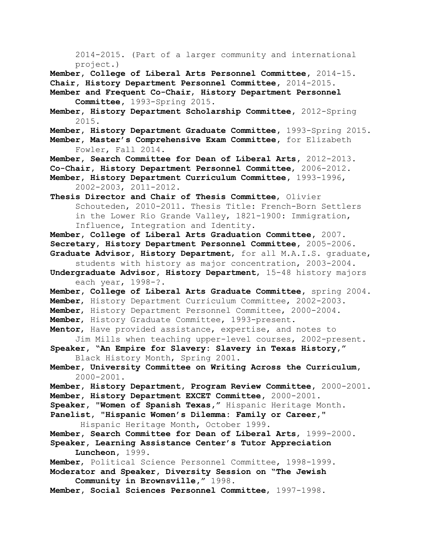2014-2015. (Part of a larger community and international project.)

**Member, College of Liberal Arts Personnel Committee,** 2014-15. **Chair, History Department Personnel Committee,** 2014-2015.

- **Member and Frequent Co-Chair**, **History Department Personnel Committee,** 1993-Spring 2015.
- **Member, History Department Scholarship Committee,** 2012-Spring 2015.
- **Member, History Department Graduate Committee,** 1993-Spring 2015.
- **Member, Master's Comprehensive Exam Committee,** for Elizabeth Fowler, Fall 2014.
- **Member, Search Committee for Dean of Liberal Arts,** 2012-2013.
- **Co-Chair, History Department Personnel Committee**, 2006-2012. **Member, History Department Curriculum Committee,** 1993-1996, 2002-2003, 2011-2012**.**

**Thesis Director and Chair of Thesis Committee**, Olivier Schouteden, 2010-2011. Thesis Title: French-Born Settlers in the Lower Rio Grande Valley, 1821-1900: Immigration, Influence, Integration and Identity.

**Member, College of Liberal Arts Graduation Committee,** 2007. **Secretary, History Department Personnel Committee,** 2005-2006. **Graduate Advisor, History Department**, for all M.A.I.S. graduate,

 students with history as major concentration, 2003-2004. **Undergraduate Advisor, History Department**, 15-48 history majors

each year, 1998-?.

**Member, College of Liberal Arts Graduate Committee,** spring 2004. **Member**, History Department Curriculum Committee, 2002-2003. **Member**, History Department Personnel Committee, 2000-2004.

- 
- **Member**, History Graduate Committee, 1993-present.

**Mentor**, Have provided assistance, expertise, and notes to Jim Mills when teaching upper-level courses, 2002-present. **Speaker, "An Empire for Slavery: Slavery in Texas History,"** 

- Black History Month, Spring 2001.
- **Member, University Committee on Writing Across the Curriculum,** 2000-2001.
- **Member, History Department, Program Review Committee,** 2000-2001. **Member, History Department EXCET Committee,** 2000-2001. **Speaker, "Women of Spanish Texas,"** Hispanic Heritage Month.
- **Panelist, "Hispanic Women's Dilemma: Family or Career,"** Hispanic Heritage Month, October 1999.

**Member, Search Committee for Dean of Liberal Arts**, 1999-2000.

- **Speaker, Learning Assistance Center's Tutor Appreciation Luncheon,** 1999.
- **Member**, Political Science Personnel Committee, 1998-1999.

**Moderator and Speaker, Diversity Session on "The Jewish Community in Brownsville,"** 1998.

**Member, Social Sciences Personnel Committee**, 1997-1998.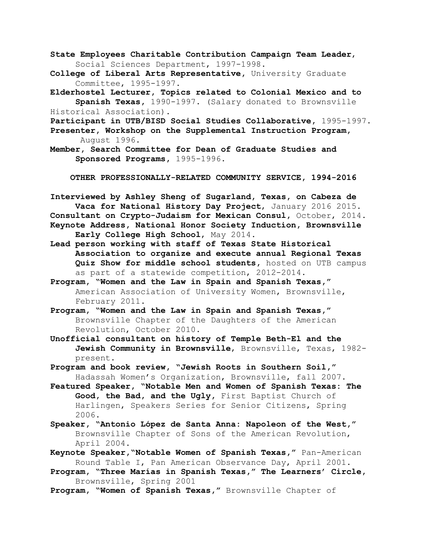- **State Employees Charitable Contribution Campaign Team Leader**, Social Sciences Department, 1997-1998.
- **College of Liberal Arts Representative,** University Graduate Committee, 1995-1997.
- **Elderhostel Lecturer, Topics related to Colonial Mexico and to Spanish Texas,** 1990-1997. (Salary donated to Brownsville Historical Association).

**Participant in UTB/BISD Social Studies Collaborative,** 1995-1997.

**Presenter, Workshop on the Supplemental Instruction Program,** August 1996.

**Member, Search Committee for Dean of Graduate Studies and Sponsored Programs,** 1995-1996.

**OTHER PROFESSIONALLY-RELATED COMMUNITY SERVICE, 1994-2016**

**Interviewed by Ashley Sheng of Sugarland, Texas, on Cabeza de Vaca for National History Day Project**, January 2016 2015. **Consultant on Crypto-Judaism for Mexican Consul,** October, 2014. **Keynote Address, National Honor Society Induction, Brownsville Early College High School**, May 2014.

- **Lead person working with staff of Texas State Historical Association to organize and execute annual Regional Texas Quiz Show for middle school students,** hosted on UTB campus as part of a statewide competition, 2012-2014.
- **Program, "Women and the Law in Spain and Spanish Texas,"** American Association of University Women, Brownsville, February 2011.
- **Program, "Women and the Law in Spain and Spanish Texas,"**  Brownsville Chapter of the Daughters of the American Revolution, October 2010.
- **Unofficial consultant on history of Temple Beth-El and the Jewish Community in Brownsville**, Brownsville, Texas, 1982 present.

**Program and book review, "Jewish Roots in Southern Soil,"** Hadassah Women's Organization, Brownsville, fall 2007.

- **Featured Speaker, "Notable Men and Women of Spanish Texas: The Good, the Bad, and the Ugly,** First Baptist Church of Harlingen, Speakers Series for Senior Citizens, Spring 2006.
- **Speaker, "Antonio López de Santa Anna: Napoleon of the West,"** Brownsville Chapter of Sons of the American Revolution, April 2004.
- **Keynote Speaker,"Notable Women of Spanish Texas,"** Pan-American Round Table I, Pan American Observance Day, April 2001.
- **Program, "Three Marías in Spanish Texas," The Learners' Circle,**  Brownsville, Spring 2001

**Program, "Women of Spanish Texas,"** Brownsville Chapter of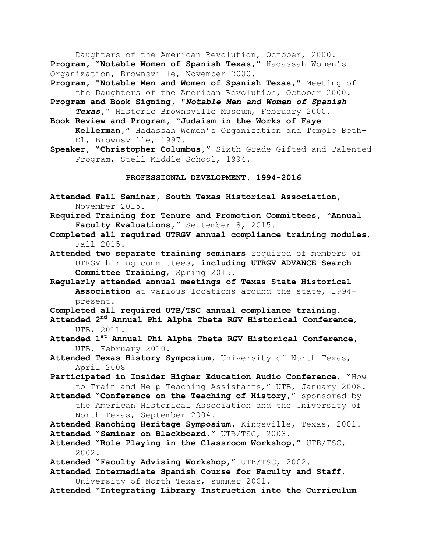Daughters of the American Revolution, October, 2000. **Program, "Notable Women of Spanish Texas,"** Hadassah Women's Organization, Brownsville, November 2000.

**Program, "Notable Men and Women of Spanish Texas,"** Meeting of the Daughters of the American Revolution, October 2000.

- **Program and Book Signing, "***Notable Men and Women of Spanish Texas***,"** Historic Brownsville Museum, February 2000.
- **Book Review and Program, "Judaism in the Works of Faye Kellerman,"** Hadassah Women's Organization and Temple Beth- El, Brownsville, 1997.
- **Speaker, "Christopher Columbus,"** Sixth Grade Gifted and Talented Program, Stell Middle School, 1994.

### **PROFESSIONAL DEVELOPMENT, 1994-2016**

- **Attended Fall Seminar, South Texas Historical Association,** November 2015.
- **Required Training for Tenure and Promotion Committees, "Annual Faculty Evaluations,"** September 8, 2015.
- **Completed all required UTRGV annual compliance training modules**, Fall 2015.
- **Attended two separate training seminars** required of members of UTRGV hiring committees, **including UTRGV ADVANCE Search Committee Training**, Spring 2015.
- **Regularly attended annual meetings of Texas State Historical Association** at various locations around the state, 1994 present.

**Completed all required UTB/TSC annual compliance training.**

- **Attended 2nd Annual Phi Alpha Theta RGV Historical Conference**, UTB, 2011.
- **Attended 1st Annual Phi Alpha Theta RGV Historical Conference,** UTB, February 2010.
- **Attended Texas History Symposium,** University of North Texas, April 2008
- **Participated in Insider Higher Education Audio Conference**, "How to Train and Help Teaching Assistants," UTB, January 2008.
- **Attended "Conference on the Teaching of History,"** sponsored by the American Historical Association and the University of North Texas, September 2004.
- **Attended Ranching Heritage Symposium,** Kingsville, Texas, 2001. **Attended "Seminar on Blackboard,"** UTB/TSC, 2003.
- **Attended "Role Playing in the Classroom Workshop,"** UTB/TSC, 2002.
- **Attended "Faculty Advising Workshop,"** UTB/TSC, 2002.
- **Attended Intermediate Spanish Course for Faculty and Staff**, University of North Texas, summer 2001.
- **Attended "Integrating Library Instruction into the Curriculum**